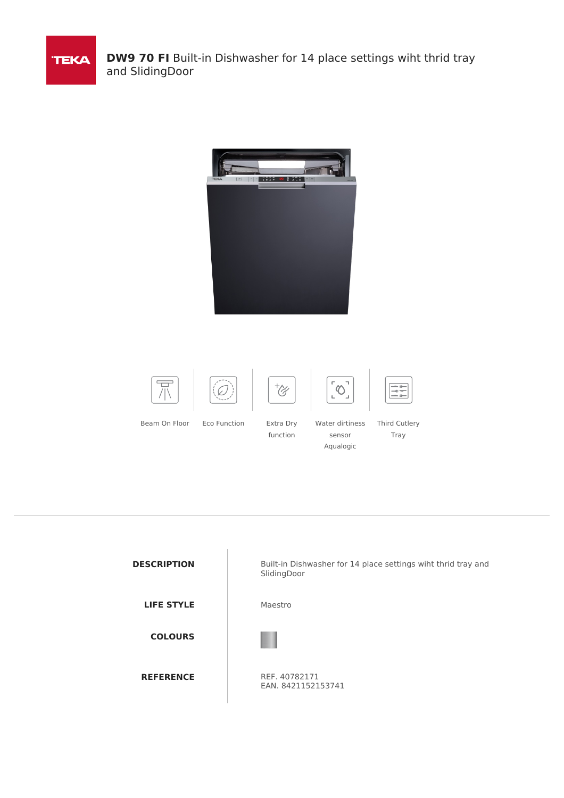

**DW9 70 FI** Built-in Dishwasher for 14 place settings wiht thrid tray and SlidingDoor











sensor Aqualogic

Ĺ



Beam On Floor Eco Function Extra Dry

function

Water dirtiness Third Cutlery Tray

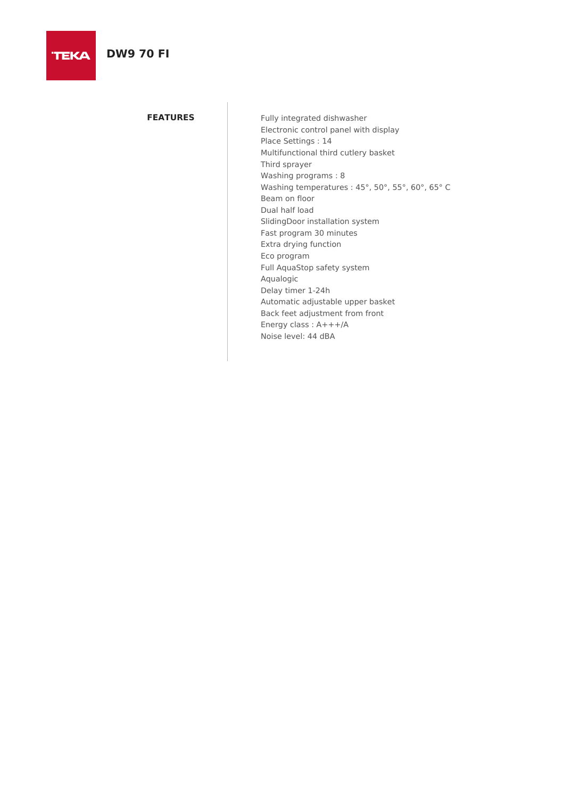## **DW9 70 FI**

**TEKA** 

**FEATURES** Fully integrated dishwasher Electronic control panel with display Place Settings : 14 Multifunctional third cutlery basket Third sprayer Washing programs : 8 Washing temperatures : 45°, 50°, 55°, 60°, 65° C Beam on floor Dual half load SlidingDoor installation system Fast program 30 minutes Extra drying function Eco program Full AquaStop safety system Aqualogic Delay timer 1-24h Automatic adjustable upper basket Back feet adjustment from front Energy class : A+++/A Noise level: 44 dBA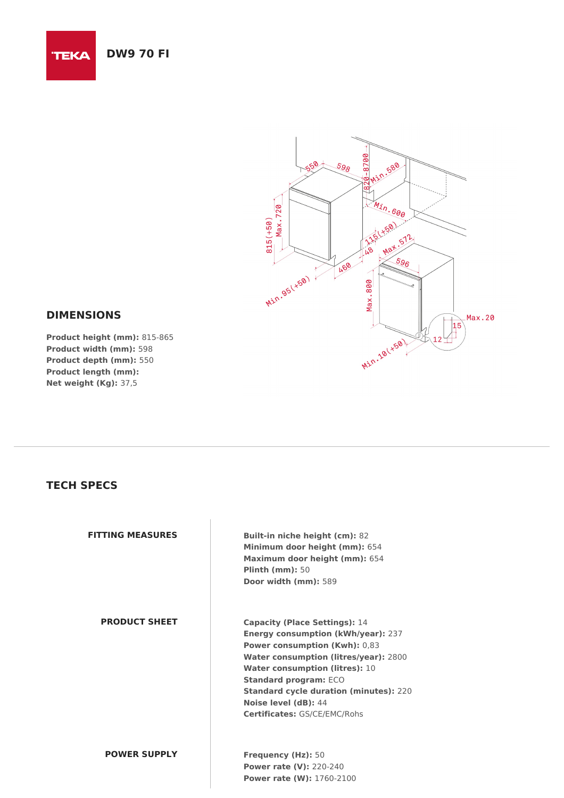## **DW9 70 FI**

**TEKA** 



#### **DIMENSIONS**

**Product height (mm):** 815-865 **Product width (mm):** 598 **Product depth (mm):** 550 **Product length (mm): Net weight (Kg):** 37,5

### **TECH SPECS**

| <b>FITTING MEASURES</b> | <b>Built-in niche height (cm): 82</b><br>Minimum door height (mm): 654<br>Maximum door height (mm): 654<br>Plinth $(mm)$ : 50<br>Door width (mm): 589                                                                                                                                                                                                       |
|-------------------------|-------------------------------------------------------------------------------------------------------------------------------------------------------------------------------------------------------------------------------------------------------------------------------------------------------------------------------------------------------------|
| <b>PRODUCT SHEET</b>    | <b>Capacity (Place Settings): 14</b><br><b>Energy consumption (kWh/year): 237</b><br><b>Power consumption (Kwh): 0,83</b><br>Water consumption (litres/year): 2800<br><b>Water consumption (litres): 10</b><br><b>Standard program: ECO</b><br><b>Standard cycle duration (minutes): 220</b><br>Noise level (dB): 44<br><b>Certificates: GS/CE/EMC/Rohs</b> |
| <b>POWER SUPPLY</b>     | Frequency (Hz): 50<br><b>Power rate (V): 220-240</b><br><b>Power rate (W): 1760-2100</b>                                                                                                                                                                                                                                                                    |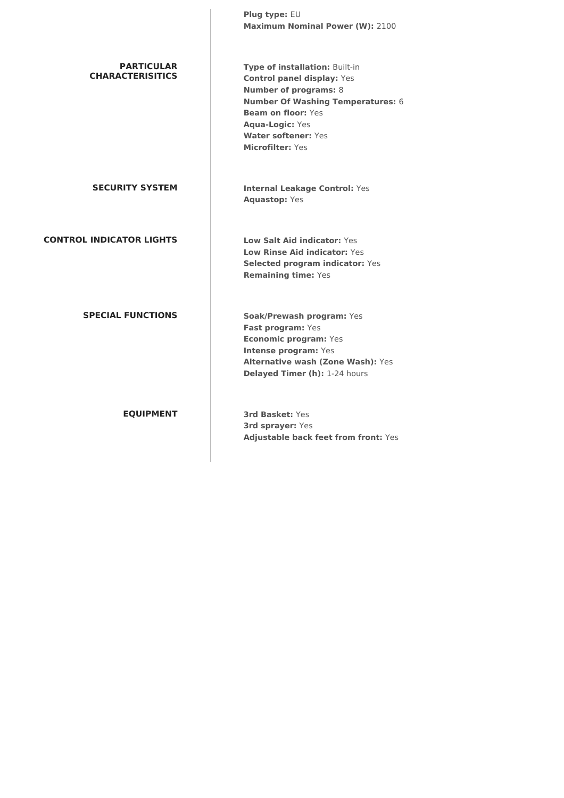|                                              | Plug type: EU<br><b>Maximum Nominal Power (W): 2100</b>                                                                                                                                                                                                  |
|----------------------------------------------|----------------------------------------------------------------------------------------------------------------------------------------------------------------------------------------------------------------------------------------------------------|
| <b>PARTICULAR</b><br><b>CHARACTERISITICS</b> | Type of installation: Built-in<br><b>Control panel display: Yes</b><br><b>Number of programs: 8</b><br><b>Number Of Washing Temperatures: 6</b><br><b>Beam on floor: Yes</b><br><b>Aqua-Logic: Yes</b><br><b>Water softener: Yes</b><br>Microfilter: Yes |
| <b>SECURITY SYSTEM</b>                       | <b>Internal Leakage Control: Yes</b><br><b>Aquastop: Yes</b>                                                                                                                                                                                             |
| <b>CONTROL INDICATOR LIGHTS</b>              | Low Salt Aid indicator: Yes<br><b>Low Rinse Aid indicator: Yes</b><br>Selected program indicator: Yes<br><b>Remaining time: Yes</b>                                                                                                                      |
| <b>SPECIAL FUNCTIONS</b>                     | Soak/Prewash program: Yes<br>Fast program: Yes<br><b>Economic program: Yes</b><br>Intense program: Yes<br><b>Alternative wash (Zone Wash): Yes</b><br>Delayed Timer (h): 1-24 hours                                                                      |
| <b>EQUIPMENT</b>                             | 3rd Basket: Yes<br><b>3rd sprayer: Yes</b><br>Adjustable back feet from front: Yes                                                                                                                                                                       |